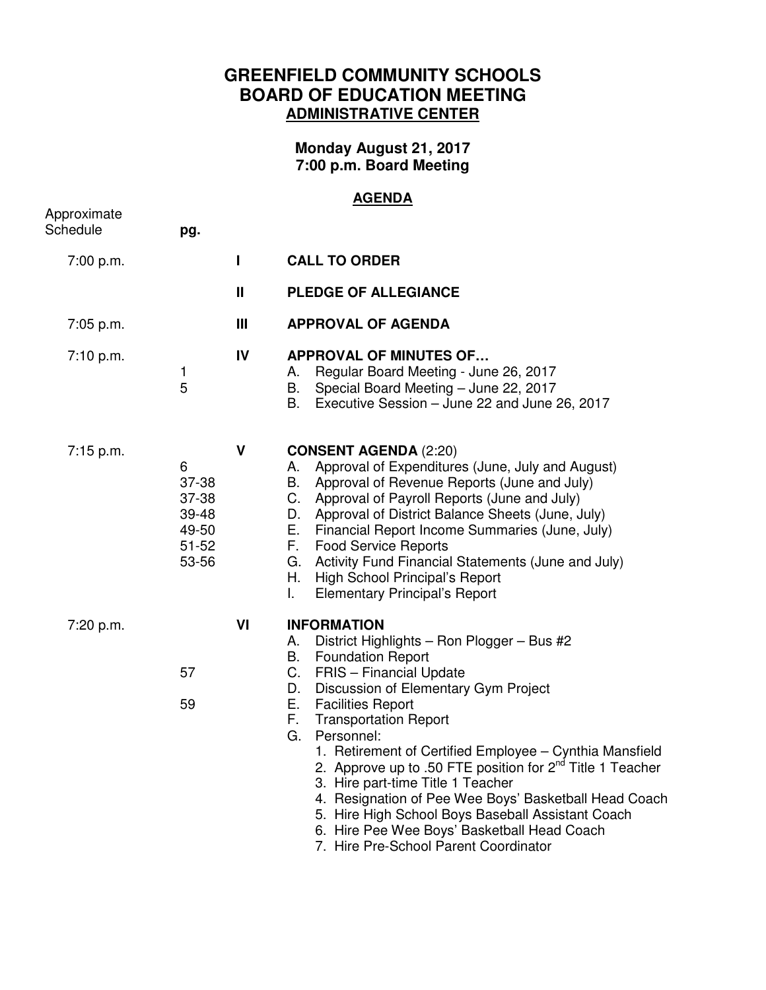## **GREENFIELD COMMUNITY SCHOOLS BOARD OF EDUCATION MEETING ADMINISTRATIVE CENTER**

**Monday August 21, 2017 7:00 p.m. Board Meeting** 

## **AGENDA**

| Approximate<br>Schedule | pg.                                                         |               |                                                                                                                                                                                                                                                                                                                                                                                                                                                                                                                                                                                                                                                                    |
|-------------------------|-------------------------------------------------------------|---------------|--------------------------------------------------------------------------------------------------------------------------------------------------------------------------------------------------------------------------------------------------------------------------------------------------------------------------------------------------------------------------------------------------------------------------------------------------------------------------------------------------------------------------------------------------------------------------------------------------------------------------------------------------------------------|
| 7:00 p.m.               |                                                             | L             | <b>CALL TO ORDER</b>                                                                                                                                                                                                                                                                                                                                                                                                                                                                                                                                                                                                                                               |
|                         |                                                             | $\mathbf{II}$ | <b>PLEDGE OF ALLEGIANCE</b>                                                                                                                                                                                                                                                                                                                                                                                                                                                                                                                                                                                                                                        |
| 7:05 p.m.               |                                                             | Ш             | <b>APPROVAL OF AGENDA</b>                                                                                                                                                                                                                                                                                                                                                                                                                                                                                                                                                                                                                                          |
| 7:10 p.m.               | 1<br>5                                                      | IV            | <b>APPROVAL OF MINUTES OF</b><br>Regular Board Meeting - June 26, 2017<br>А.<br>В.<br>Special Board Meeting - June 22, 2017<br>В.<br>Executive Session - June 22 and June 26, 2017                                                                                                                                                                                                                                                                                                                                                                                                                                                                                 |
| 7:15 p.m.               | 6<br>37-38<br>37-38<br>39-48<br>49-50<br>$51 - 52$<br>53-56 | $\mathsf{V}$  | <b>CONSENT AGENDA (2:20)</b><br>Approval of Expenditures (June, July and August)<br>А.<br>В.<br>Approval of Revenue Reports (June and July)<br>C.<br>Approval of Payroll Reports (June and July)<br>Approval of District Balance Sheets (June, July)<br>D.<br>Е.<br>Financial Report Income Summaries (June, July)<br>F.<br><b>Food Service Reports</b><br>Activity Fund Financial Statements (June and July)<br>G.<br>Η.<br>High School Principal's Report<br>L.<br><b>Elementary Principal's Report</b>                                                                                                                                                          |
| 7:20 p.m.               | 57<br>59                                                    | VI            | <b>INFORMATION</b><br>А.<br>District Highlights - Ron Plogger - Bus #2<br>В.<br><b>Foundation Report</b><br>C.<br>FRIS - Financial Update<br>Discussion of Elementary Gym Project<br>D.<br>Е.<br><b>Facilities Report</b><br>F.<br><b>Transportation Report</b><br>G.<br>Personnel:<br>1. Retirement of Certified Employee - Cynthia Mansfield<br>2. Approve up to .50 FTE position for 2 <sup>nd</sup> Title 1 Teacher<br>3. Hire part-time Title 1 Teacher<br>4. Resignation of Pee Wee Boys' Basketball Head Coach<br>5. Hire High School Boys Baseball Assistant Coach<br>6. Hire Pee Wee Boys' Basketball Head Coach<br>7. Hire Pre-School Parent Coordinator |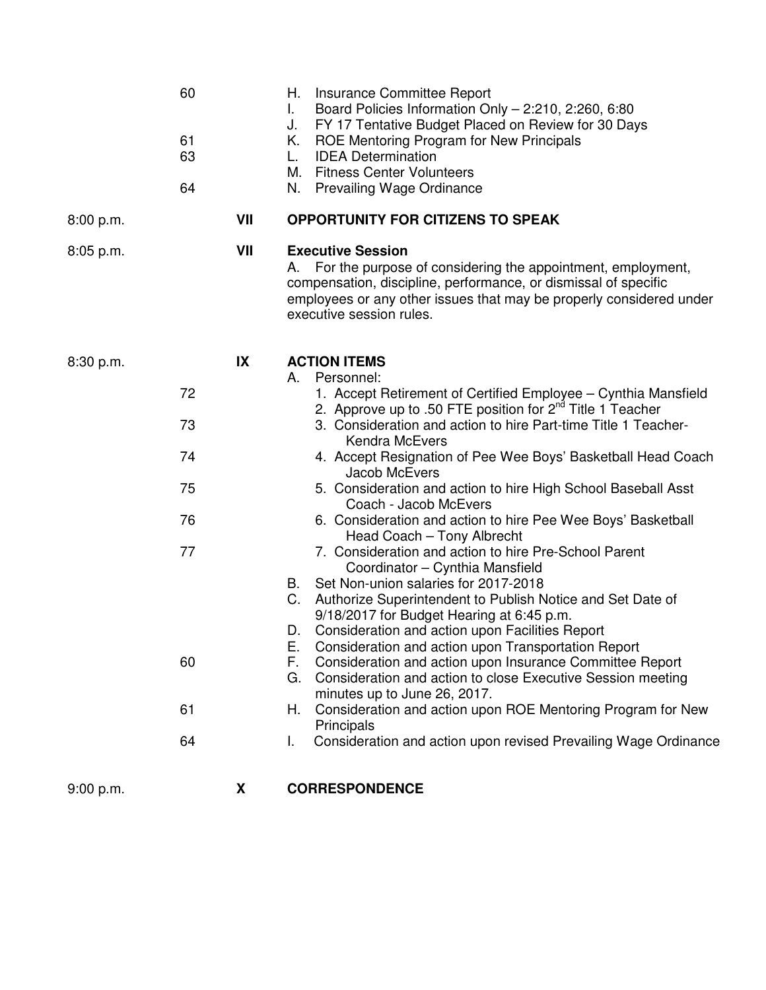|             | 60<br>61<br>63<br>64 |     | Insurance Committee Report<br>Н.<br>Board Policies Information Only - 2:210, 2:260, 6:80<br>L.<br>FY 17 Tentative Budget Placed on Review for 30 Days<br>J.<br>ROE Mentoring Program for New Principals<br>Κ.<br><b>IDEA Determination</b><br>L.<br><b>Fitness Center Volunteers</b><br>М.<br><b>Prevailing Wage Ordinance</b><br>N. |
|-------------|----------------------|-----|--------------------------------------------------------------------------------------------------------------------------------------------------------------------------------------------------------------------------------------------------------------------------------------------------------------------------------------|
| 8:00 p.m.   |                      | VII | <b>OPPORTUNITY FOR CITIZENS TO SPEAK</b>                                                                                                                                                                                                                                                                                             |
| $8:05$ p.m. |                      | VII | <b>Executive Session</b><br>For the purpose of considering the appointment, employment,<br>А.<br>compensation, discipline, performance, or dismissal of specific<br>employees or any other issues that may be properly considered under<br>executive session rules.                                                                  |
| 8:30 p.m.   |                      | IX  | <b>ACTION ITEMS</b>                                                                                                                                                                                                                                                                                                                  |
|             | 72                   |     | Personnel:<br>А.<br>1. Accept Retirement of Certified Employee - Cynthia Mansfield                                                                                                                                                                                                                                                   |
|             | 73                   |     | 2. Approve up to .50 FTE position for 2 <sup>nd</sup> Title 1 Teacher<br>3. Consideration and action to hire Part-time Title 1 Teacher-<br><b>Kendra McEvers</b>                                                                                                                                                                     |
|             | 74                   |     | 4. Accept Resignation of Pee Wee Boys' Basketball Head Coach<br><b>Jacob McEvers</b>                                                                                                                                                                                                                                                 |
|             | 75                   |     | 5. Consideration and action to hire High School Baseball Asst<br>Coach - Jacob McEvers                                                                                                                                                                                                                                               |
|             | 76                   |     | 6. Consideration and action to hire Pee Wee Boys' Basketball<br>Head Coach - Tony Albrecht                                                                                                                                                                                                                                           |
|             | 77                   |     | 7. Consideration and action to hire Pre-School Parent<br>Coordinator - Cynthia Mansfield                                                                                                                                                                                                                                             |
|             |                      |     | Set Non-union salaries for 2017-2018<br>В.<br>C.<br>Authorize Superintendent to Publish Notice and Set Date of<br>9/18/2017 for Budget Hearing at 6:45 p.m.<br>Consideration and action upon Facilities Report<br>D.                                                                                                                 |
|             | 60                   |     | Consideration and action upon Transportation Report<br>c.<br>Consideration and action upon Insurance Committee Report<br>F.<br>Consideration and action to close Executive Session meeting<br>G.<br>minutes up to June 26, 2017.                                                                                                     |
|             | 61                   |     | Consideration and action upon ROE Mentoring Program for New<br>Н.<br>Principals                                                                                                                                                                                                                                                      |
|             | 64                   |     | Consideration and action upon revised Prevailing Wage Ordinance<br>L.                                                                                                                                                                                                                                                                |
| 9:00 p.m.   |                      | X   | <b>CORRESPONDENCE</b>                                                                                                                                                                                                                                                                                                                |